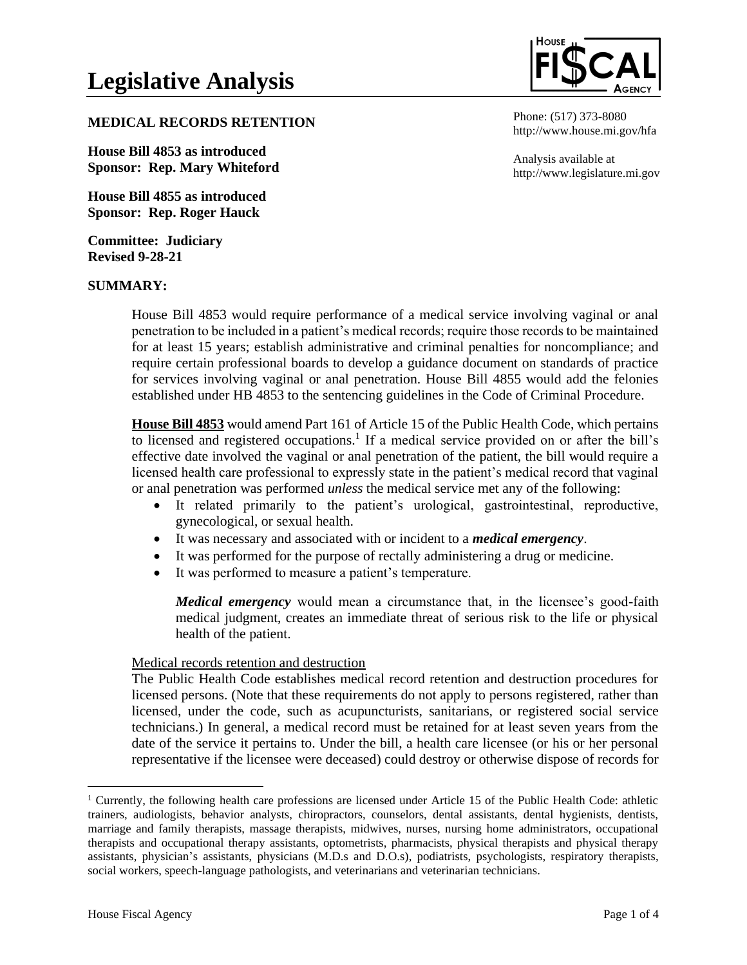# **MEDICAL RECORDS RETENTION**

**House Bill 4853 as introduced Sponsor: Rep. Mary Whiteford**

**House Bill 4855 as introduced Sponsor: Rep. Roger Hauck**

**Committee: Judiciary Revised 9-28-21**

#### **SUMMARY:**



Phone: (517) 373-8080 http://www.house.mi.gov/hfa

Analysis available at http://www.legislature.mi.gov

House Bill 4853 would require performance of a medical service involving vaginal or anal penetration to be included in a patient's medical records; require those records to be maintained for at least 15 years; establish administrative and criminal penalties for noncompliance; and require certain professional boards to develop a guidance document on standards of practice for services involving vaginal or anal penetration. House Bill 4855 would add the felonies established under HB 4853 to the sentencing guidelines in the Code of Criminal Procedure.

**House Bill 4853** would amend Part 161 of Article 15 of the Public Health Code, which pertains to licensed and registered occupations.<sup>1</sup> If a medical service provided on or after the bill's effective date involved the vaginal or anal penetration of the patient, the bill would require a licensed health care professional to expressly state in the patient's medical record that vaginal or anal penetration was performed *unless* the medical service met any of the following:

- It related primarily to the patient's urological, gastrointestinal, reproductive, gynecological, or sexual health.
- It was necessary and associated with or incident to a *medical emergency*.
- It was performed for the purpose of rectally administering a drug or medicine.
- It was performed to measure a patient's temperature.

*Medical emergency* would mean a circumstance that, in the licensee's good-faith medical judgment, creates an immediate threat of serious risk to the life or physical health of the patient.

### Medical records retention and destruction

The Public Health Code establishes medical record retention and destruction procedures for licensed persons. (Note that these requirements do not apply to persons registered, rather than licensed, under the code, such as acupuncturists, sanitarians, or registered social service technicians.) In general, a medical record must be retained for at least seven years from the date of the service it pertains to. Under the bill, a health care licensee (or his or her personal representative if the licensee were deceased) could destroy or otherwise dispose of records for

<sup>1</sup> Currently, the following health care professions are licensed under Article 15 of the Public Health Code: athletic trainers, audiologists, behavior analysts, chiropractors, counselors, dental assistants, dental hygienists, dentists, marriage and family therapists, massage therapists, midwives, nurses, nursing home administrators, occupational therapists and occupational therapy assistants, optometrists, pharmacists, physical therapists and physical therapy assistants, physician's assistants, physicians (M.D.s and D.O.s), podiatrists, psychologists, respiratory therapists, social workers, speech-language pathologists, and veterinarians and veterinarian technicians.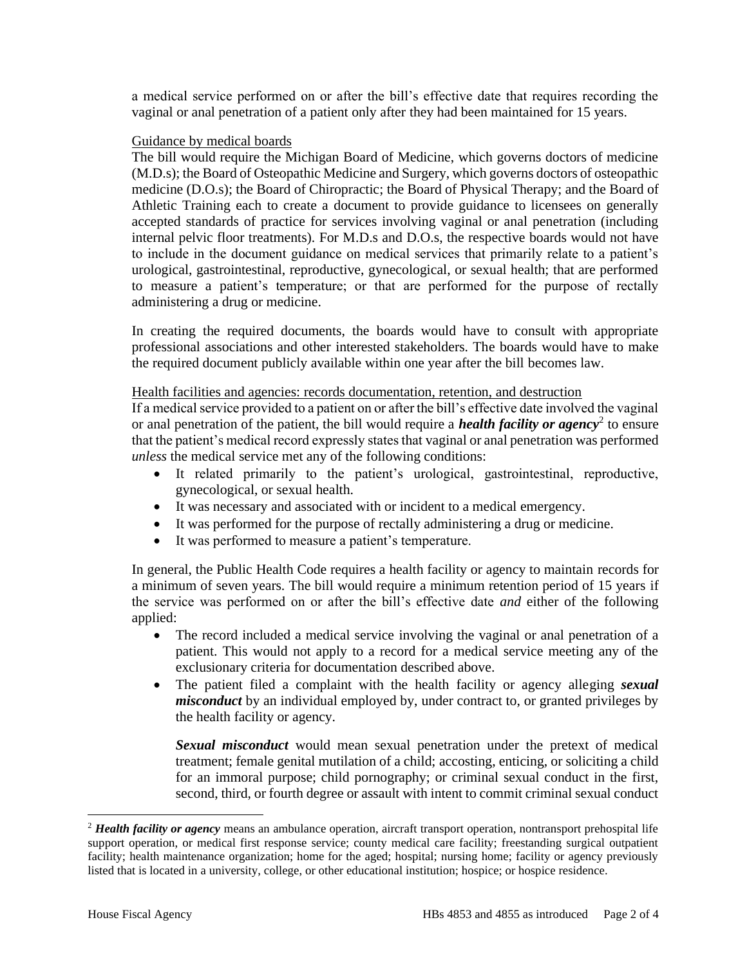a medical service performed on or after the bill's effective date that requires recording the vaginal or anal penetration of a patient only after they had been maintained for 15 years.

### Guidance by medical boards

The bill would require the Michigan Board of Medicine, which governs doctors of medicine (M.D.s); the Board of Osteopathic Medicine and Surgery, which governs doctors of osteopathic medicine (D.O.s); the Board of Chiropractic; the Board of Physical Therapy; and the Board of Athletic Training each to create a document to provide guidance to licensees on generally accepted standards of practice for services involving vaginal or anal penetration (including internal pelvic floor treatments). For M.D.s and D.O.s, the respective boards would not have to include in the document guidance on medical services that primarily relate to a patient's urological, gastrointestinal, reproductive, gynecological, or sexual health; that are performed to measure a patient's temperature; or that are performed for the purpose of rectally administering a drug or medicine.

In creating the required documents, the boards would have to consult with appropriate professional associations and other interested stakeholders. The boards would have to make the required document publicly available within one year after the bill becomes law.

### Health facilities and agencies: records documentation, retention, and destruction

If a medical service provided to a patient on or after the bill's effective date involved the vaginal or anal penetration of the patient, the bill would require a *health facility or agency*<sup>2</sup> to ensure that the patient's medical record expressly states that vaginal or anal penetration was performed *unless* the medical service met any of the following conditions:

- It related primarily to the patient's urological, gastrointestinal, reproductive, gynecological, or sexual health.
- It was necessary and associated with or incident to a medical emergency.
- It was performed for the purpose of rectally administering a drug or medicine.
- It was performed to measure a patient's temperature.

In general, the Public Health Code requires a health facility or agency to maintain records for a minimum of seven years. The bill would require a minimum retention period of 15 years if the service was performed on or after the bill's effective date *and* either of the following applied:

- The record included a medical service involving the vaginal or anal penetration of a patient. This would not apply to a record for a medical service meeting any of the exclusionary criteria for documentation described above.
- The patient filed a complaint with the health facility or agency alleging *sexual misconduct* by an individual employed by, under contract to, or granted privileges by the health facility or agency.

*Sexual misconduct* would mean sexual penetration under the pretext of medical treatment; female genital mutilation of a child; accosting, enticing, or soliciting a child for an immoral purpose; child pornography; or criminal sexual conduct in the first, second, third, or fourth degree or assault with intent to commit criminal sexual conduct

<sup>2</sup> *Health facility or agency* means an ambulance operation, aircraft transport operation, nontransport prehospital life support operation, or medical first response service; county medical care facility; freestanding surgical outpatient facility; health maintenance organization; home for the aged; hospital; nursing home; facility or agency previously listed that is located in a university, college, or other educational institution; hospice; or hospice residence.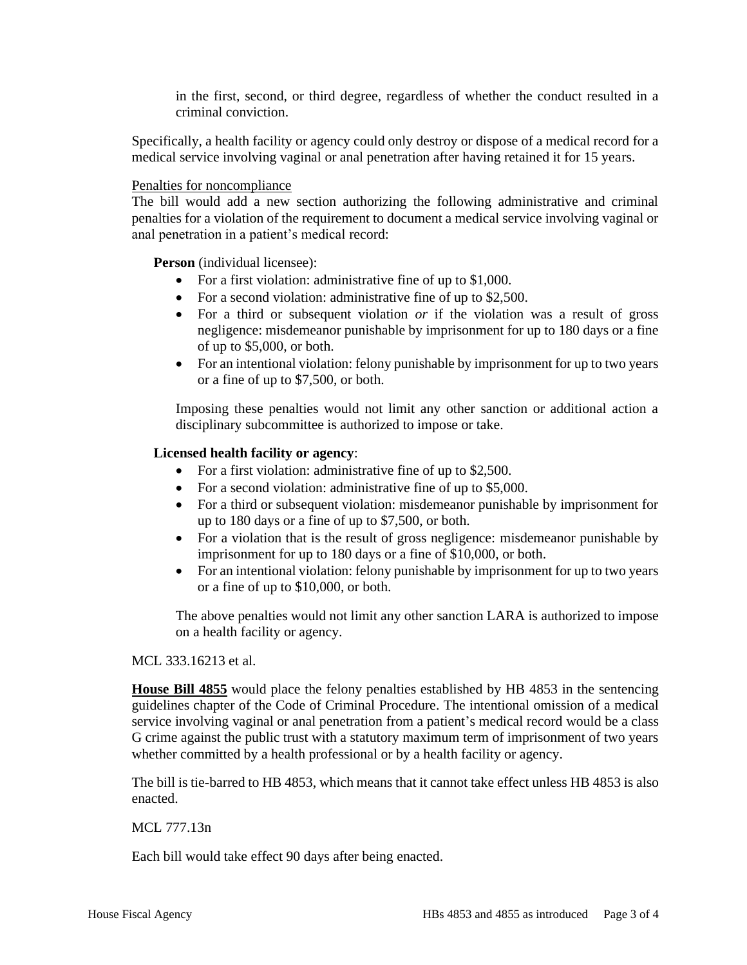in the first, second, or third degree, regardless of whether the conduct resulted in a criminal conviction.

Specifically, a health facility or agency could only destroy or dispose of a medical record for a medical service involving vaginal or anal penetration after having retained it for 15 years.

### Penalties for noncompliance

The bill would add a new section authorizing the following administrative and criminal penalties for a violation of the requirement to document a medical service involving vaginal or anal penetration in a patient's medical record:

**Person** (individual licensee):

- For a first violation: administrative fine of up to \$1,000.
- For a second violation: administrative fine of up to \$2,500.
- For a third or subsequent violation *or* if the violation was a result of gross negligence: misdemeanor punishable by imprisonment for up to 180 days or a fine of up to \$5,000, or both.
- For an intentional violation: felony punishable by imprisonment for up to two years or a fine of up to \$7,500, or both.

Imposing these penalties would not limit any other sanction or additional action a disciplinary subcommittee is authorized to impose or take.

### **Licensed health facility or agency**:

- For a first violation: administrative fine of up to \$2,500.
- For a second violation: administrative fine of up to \$5,000.
- For a third or subsequent violation: misdemeanor punishable by imprisonment for up to 180 days or a fine of up to \$7,500, or both.
- For a violation that is the result of gross negligence: misdemeanor punishable by imprisonment for up to 180 days or a fine of \$10,000, or both.
- For an intentional violation: felony punishable by imprisonment for up to two years or a fine of up to \$10,000, or both.

The above penalties would not limit any other sanction LARA is authorized to impose on a health facility or agency.

MCL 333.16213 et al.

**House Bill 4855** would place the felony penalties established by HB 4853 in the sentencing guidelines chapter of the Code of Criminal Procedure. The intentional omission of a medical service involving vaginal or anal penetration from a patient's medical record would be a class G crime against the public trust with a statutory maximum term of imprisonment of two years whether committed by a health professional or by a health facility or agency.

The bill is tie-barred to HB 4853, which means that it cannot take effect unless HB 4853 is also enacted.

MCL 777.13n

Each bill would take effect 90 days after being enacted.